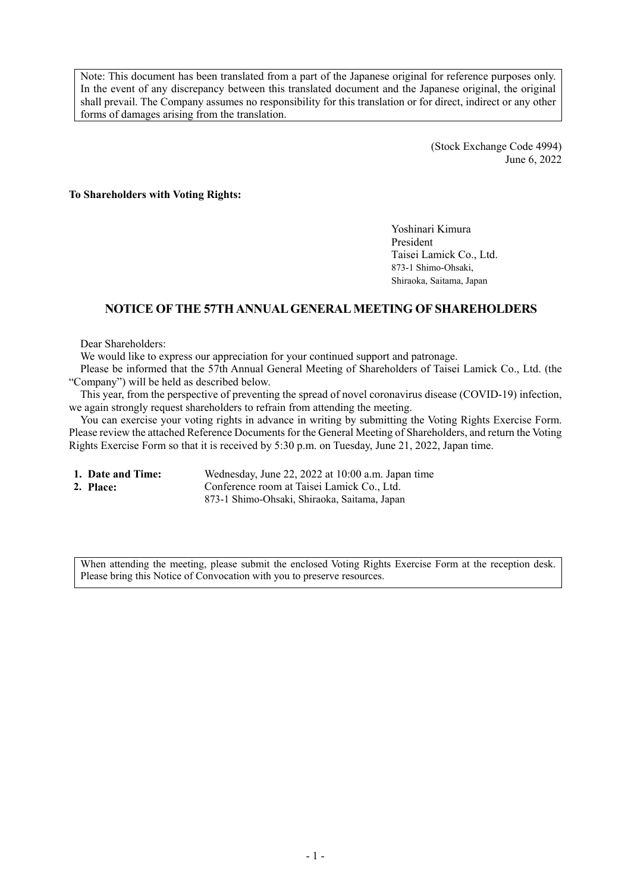Note: This document has been translated from a part of the Japanese original for reference purposes only. In the event of any discrepancy between this translated document and the Japanese original, the original shall prevail. The Company assumes no responsibility for this translation or for direct, indirect or any other forms of damages arising from the translation.

> (Stock Exchange Code 4994) June 6, 2022

**To Shareholders with Voting Rights:** 

Yoshinari Kimura President Taisei Lamick Co., Ltd. 873-1 Shimo-Ohsaki, Shiraoka, Saitama, Japan

## **NOTICE OF THE 57TH ANNUAL GENERAL MEETING OF SHAREHOLDERS**

Dear Shareholders:

We would like to express our appreciation for your continued support and patronage.

Please be informed that the 57th Annual General Meeting of Shareholders of Taisei Lamick Co., Ltd. (the "Company") will be held as described below.

This year, from the perspective of preventing the spread of novel coronavirus disease (COVID-19) infection, we again strongly request shareholders to refrain from attending the meeting.

You can exercise your voting rights in advance in writing by submitting the Voting Rights Exercise Form. Please review the attached Reference Documents for the General Meeting of Shareholders, and return the Voting Rights Exercise Form so that it is received by 5:30 p.m. on Tuesday, June 21, 2022, Japan time.

- 
- 

**1. Date and Time:** Wednesday, June 22, 2022 at 10:00 a.m. Japan time 2. Place: Conference room at Taisei Lamick Co., Ltd. Conference room at Taisei Lamick Co., Ltd. 873-1 Shimo-Ohsaki, Shiraoka, Saitama, Japan

When attending the meeting, please submit the enclosed Voting Rights Exercise Form at the reception desk. Please bring this Notice of Convocation with you to preserve resources.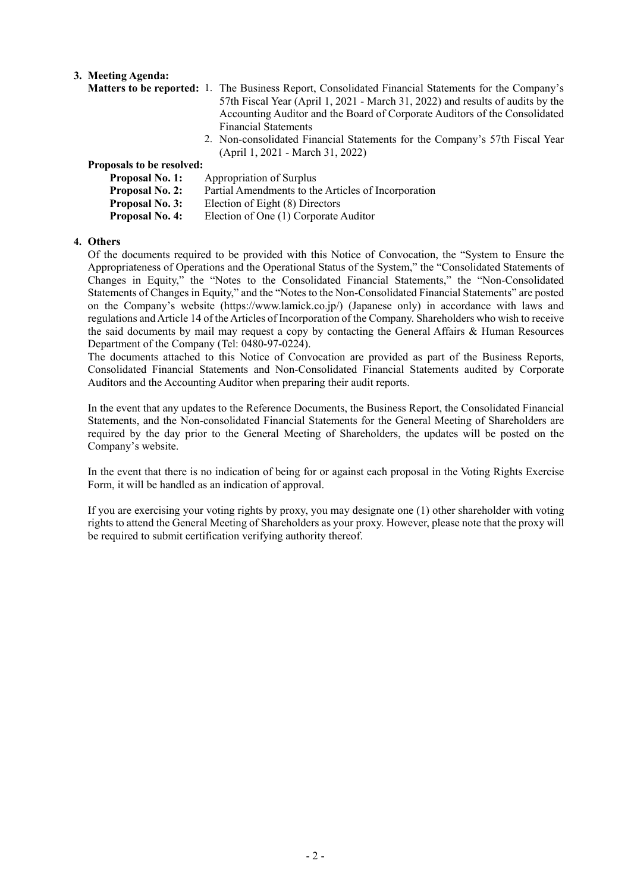## **3. Meeting Agenda:**

- **Matters to be reported:** 1. The Business Report, Consolidated Financial Statements for the Company's 57th Fiscal Year (April 1, 2021 - March 31, 2022) and results of audits by the Accounting Auditor and the Board of Corporate Auditors of the Consolidated Financial Statements
	- 2. Non-consolidated Financial Statements for the Company's 57th Fiscal Year (April 1, 2021 - March 31, 2022)

## **Proposals to be resolved:**

| <b>Proposal No. 1:</b> | Appropriation of Surplus                            |
|------------------------|-----------------------------------------------------|
| <b>Proposal No. 2:</b> | Partial Amendments to the Articles of Incorporation |
| <b>Proposal No. 3:</b> | Election of Eight (8) Directors                     |
| <b>Proposal No. 4:</b> | Election of One (1) Corporate Auditor               |

#### **4. Others**

Of the documents required to be provided with this Notice of Convocation, the "System to Ensure the Appropriateness of Operations and the Operational Status of the System," the "Consolidated Statements of Changes in Equity," the "Notes to the Consolidated Financial Statements," the "Non-Consolidated Statements of Changes in Equity," and the "Notes to the Non-Consolidated Financial Statements" are posted on the Company's website (https://www.lamick.co.jp/) (Japanese only) in accordance with laws and regulations and Article 14 of the Articles of Incorporation of the Company. Shareholders who wish to receive the said documents by mail may request a copy by contacting the General Affairs & Human Resources Department of the Company (Tel: 0480-97-0224).

The documents attached to this Notice of Convocation are provided as part of the Business Reports, Consolidated Financial Statements and Non-Consolidated Financial Statements audited by Corporate Auditors and the Accounting Auditor when preparing their audit reports.

In the event that any updates to the Reference Documents, the Business Report, the Consolidated Financial Statements, and the Non-consolidated Financial Statements for the General Meeting of Shareholders are required by the day prior to the General Meeting of Shareholders, the updates will be posted on the Company's website.

In the event that there is no indication of being for or against each proposal in the Voting Rights Exercise Form, it will be handled as an indication of approval.

If you are exercising your voting rights by proxy, you may designate one (1) other shareholder with voting rights to attend the General Meeting of Shareholders as your proxy. However, please note that the proxy will be required to submit certification verifying authority thereof.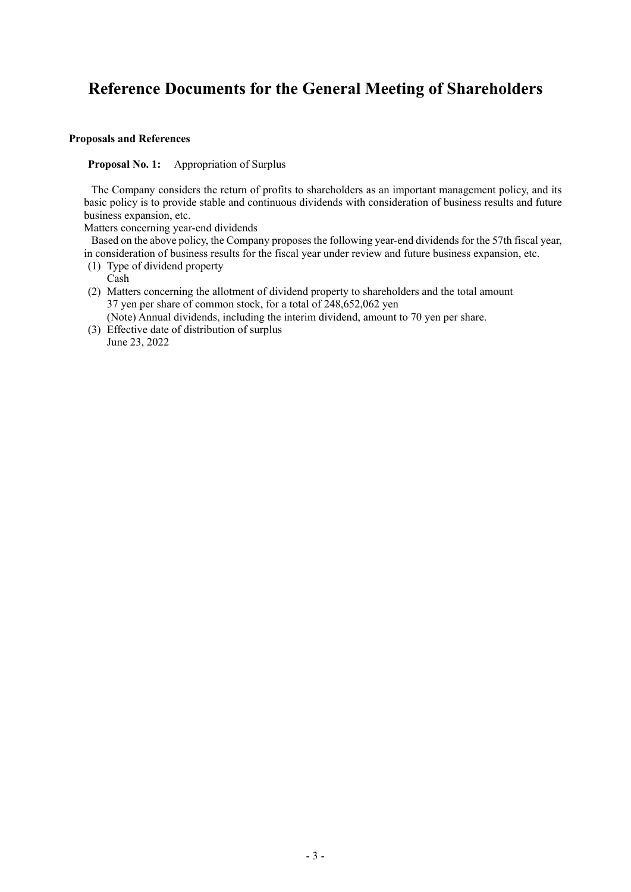# **Reference Documents for the General Meeting of Shareholders**

#### **Proposals and References**

**Proposal No. 1:** Appropriation of Surplus

The Company considers the return of profits to shareholders as an important management policy, and its basic policy is to provide stable and continuous dividends with consideration of business results and future business expansion, etc.

Matters concerning year-end dividends

Based on the above policy, the Company proposes the following year-end dividends for the 57th fiscal year, in consideration of business results for the fiscal year under review and future business expansion, etc.

(1) Type of dividend property

Cash

- (2) Matters concerning the allotment of dividend property to shareholders and the total amount 37 yen per share of common stock, for a total of 248,652,062 yen
	- (Note) Annual dividends, including the interim dividend, amount to 70 yen per share.
- (3) Effective date of distribution of surplus June 23, 2022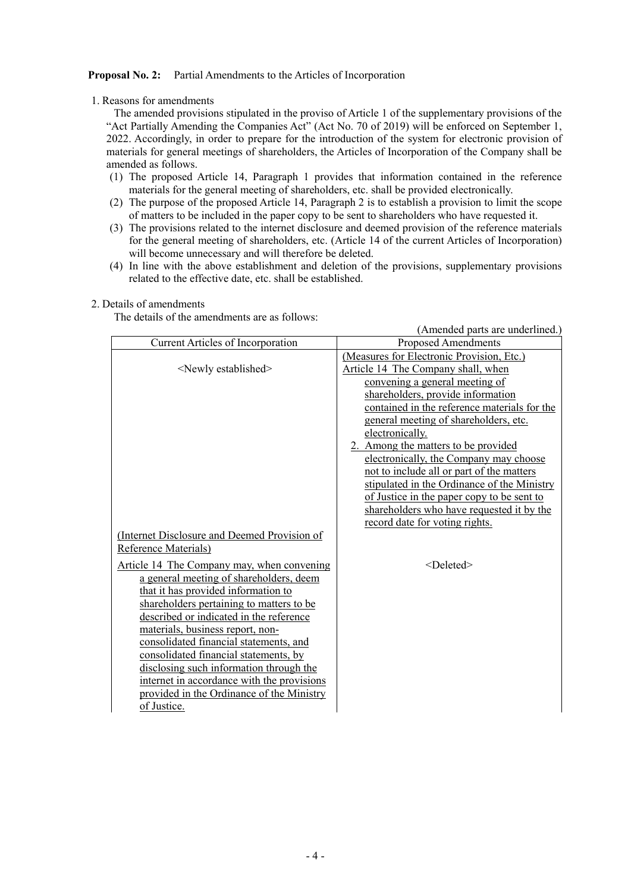#### **Proposal No. 2:** Partial Amendments to the Articles of Incorporation

#### 1. Reasons for amendments

The amended provisions stipulated in the proviso of Article 1 of the supplementary provisions of the "Act Partially Amending the Companies Act" (Act No. 70 of 2019) will be enforced on September 1, 2022. Accordingly, in order to prepare for the introduction of the system for electronic provision of materials for general meetings of shareholders, the Articles of Incorporation of the Company shall be amended as follows.

- (1) The proposed Article 14, Paragraph 1 provides that information contained in the reference materials for the general meeting of shareholders, etc. shall be provided electronically.
- (2) The purpose of the proposed Article 14, Paragraph 2 is to establish a provision to limit the scope of matters to be included in the paper copy to be sent to shareholders who have requested it.
- (3) The provisions related to the internet disclosure and deemed provision of the reference materials for the general meeting of shareholders, etc. (Article 14 of the current Articles of Incorporation) will become unnecessary and will therefore be deleted.
- (4) In line with the above establishment and deletion of the provisions, supplementary provisions related to the effective date, etc. shall be established.

#### 2. Details of amendments

The details of the amendments are as follows:

|                                                                                                                                                                                                                                                                                                                                                                                                                                                                                                 | (Amended parts are underlined.)                                                                                                                                                                                                                                                                                                                                                                                                                                                               |
|-------------------------------------------------------------------------------------------------------------------------------------------------------------------------------------------------------------------------------------------------------------------------------------------------------------------------------------------------------------------------------------------------------------------------------------------------------------------------------------------------|-----------------------------------------------------------------------------------------------------------------------------------------------------------------------------------------------------------------------------------------------------------------------------------------------------------------------------------------------------------------------------------------------------------------------------------------------------------------------------------------------|
| <b>Current Articles of Incorporation</b>                                                                                                                                                                                                                                                                                                                                                                                                                                                        | <b>Proposed Amendments</b>                                                                                                                                                                                                                                                                                                                                                                                                                                                                    |
| <newly established=""></newly>                                                                                                                                                                                                                                                                                                                                                                                                                                                                  | (Measures for Electronic Provision, Etc.)<br>Article 14 The Company shall, when<br>convening a general meeting of<br>shareholders, provide information<br>contained in the reference materials for the<br>general meeting of shareholders, etc.<br>electronically.<br>2. Among the matters to be provided<br>electronically, the Company may choose<br>not to include all or part of the matters<br>stipulated in the Ordinance of the Ministry<br>of Justice in the paper copy to be sent to |
|                                                                                                                                                                                                                                                                                                                                                                                                                                                                                                 | shareholders who have requested it by the                                                                                                                                                                                                                                                                                                                                                                                                                                                     |
|                                                                                                                                                                                                                                                                                                                                                                                                                                                                                                 | record date for voting rights.                                                                                                                                                                                                                                                                                                                                                                                                                                                                |
| (Internet Disclosure and Deemed Provision of<br><b>Reference Materials</b> )                                                                                                                                                                                                                                                                                                                                                                                                                    |                                                                                                                                                                                                                                                                                                                                                                                                                                                                                               |
| Article 14 The Company may, when convening<br>a general meeting of shareholders, deem<br>that it has provided information to<br>shareholders pertaining to matters to be<br>described or indicated in the reference<br>materials, business report, non-<br>consolidated financial statements, and<br>consolidated financial statements, by<br>disclosing such information through the<br>internet in accordance with the provisions<br>provided in the Ordinance of the Ministry<br>of Justice. | <deleted></deleted>                                                                                                                                                                                                                                                                                                                                                                                                                                                                           |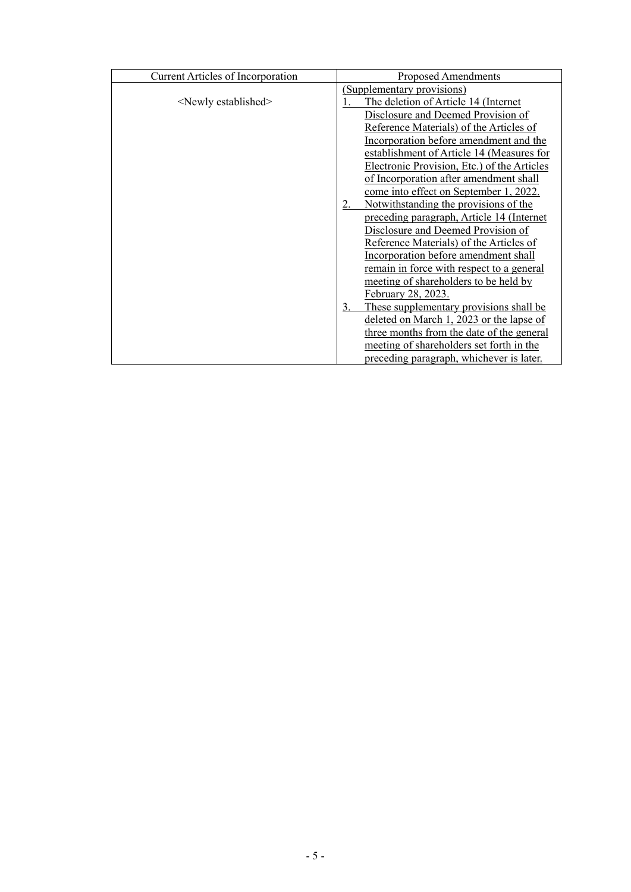| <b>Current Articles of Incorporation</b> | Proposed Amendments                                         |  |
|------------------------------------------|-------------------------------------------------------------|--|
|                                          | (Supplementary provisions)                                  |  |
| <newly established=""></newly>           | The deletion of Article 14 (Internet                        |  |
|                                          | Disclosure and Deemed Provision of                          |  |
|                                          | Reference Materials) of the Articles of                     |  |
|                                          | Incorporation before amendment and the                      |  |
|                                          | establishment of Article 14 (Measures for                   |  |
|                                          | Electronic Provision, Etc.) of the Articles                 |  |
|                                          | of Incorporation after amendment shall                      |  |
|                                          | come into effect on September 1, 2022.                      |  |
|                                          | Notwithstanding the provisions of the<br>2.                 |  |
|                                          | preceding paragraph, Article 14 (Internet                   |  |
|                                          | Disclosure and Deemed Provision of                          |  |
|                                          | Reference Materials) of the Articles of                     |  |
|                                          | Incorporation before amendment shall                        |  |
|                                          | remain in force with respect to a general                   |  |
|                                          | meeting of shareholders to be held by                       |  |
|                                          | February 28, 2023.                                          |  |
|                                          | These supplementary provisions shall be<br>$\overline{3}$ . |  |
|                                          | deleted on March 1, 2023 or the lapse of                    |  |
|                                          | three months from the date of the general                   |  |
|                                          | meeting of shareholders set forth in the                    |  |
|                                          | preceding paragraph, whichever is later.                    |  |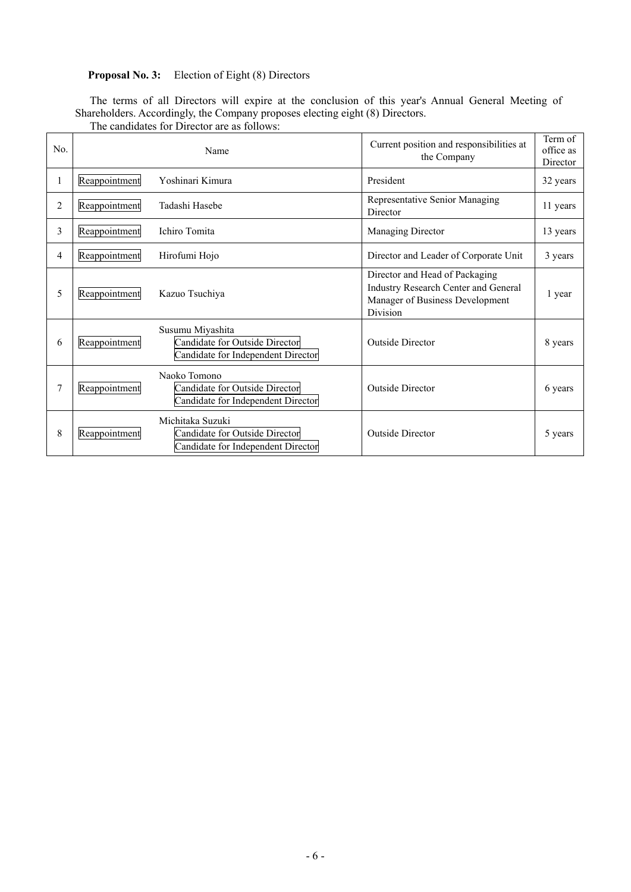## **Proposal No. 3:** Election of Eight (8) Directors

The terms of all Directors will expire at the conclusion of this year's Annual General Meeting of Shareholders. Accordingly, the Company proposes electing eight (8) Directors. The candidates for Director are as follows:

| No. |               | Name                                                                                     | Current position and responsibilities at<br>the Company                                                               | Term of<br>office as<br>Director |
|-----|---------------|------------------------------------------------------------------------------------------|-----------------------------------------------------------------------------------------------------------------------|----------------------------------|
| 1   | Reappointment | Yoshinari Kimura                                                                         | President                                                                                                             | 32 years                         |
| 2   | Reappointment | Tadashi Hasebe                                                                           | Representative Senior Managing<br>Director                                                                            | 11 years                         |
| 3   | Reappointment | Ichiro Tomita                                                                            | Managing Director                                                                                                     | 13 years                         |
| 4   | Reappointment | Hirofumi Hojo                                                                            | Director and Leader of Corporate Unit                                                                                 | 3 years                          |
| 5   | Reappointment | Kazuo Tsuchiya                                                                           | Director and Head of Packaging<br>Industry Research Center and General<br>Manager of Business Development<br>Division | l year                           |
| 6   | Reappointment | Susumu Miyashita<br>Candidate for Outside Director<br>Candidate for Independent Director | <b>Outside Director</b>                                                                                               | 8 years                          |
| 7   | Reappointment | Naoko Tomono<br>Candidate for Outside Director<br>Candidate for Independent Director     | <b>Outside Director</b>                                                                                               | 6 years                          |
| 8   | Reappointment | Michitaka Suzuki<br>Candidate for Outside Director<br>Candidate for Independent Director | <b>Outside Director</b>                                                                                               | 5 years                          |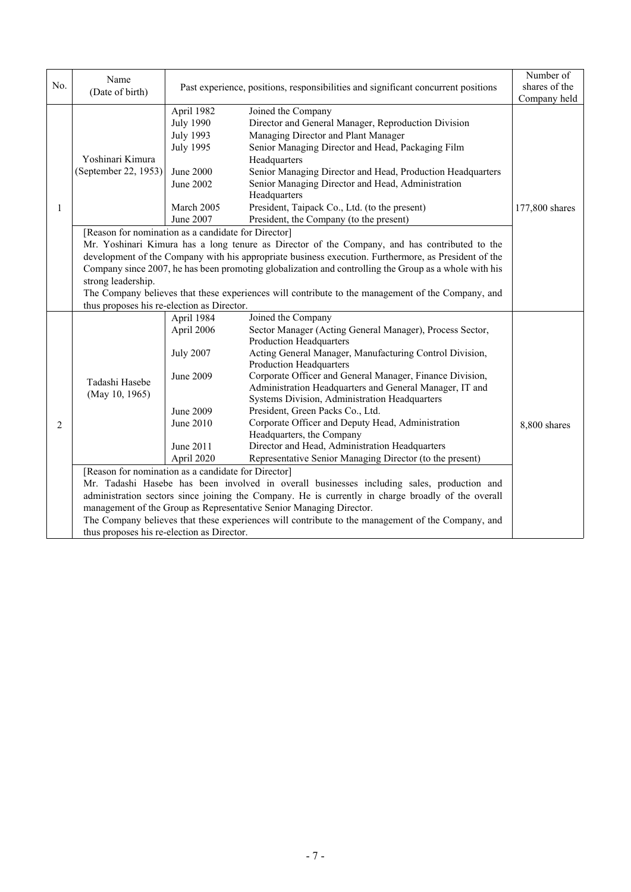| No. | Name<br>(Date of birth)                                                                                                                                                                          |                                                                                                                      | Past experience, positions, responsibilities and significant concurrent positions                                                                                                                                                                                                                                                                                                                                                                                                                                                                                                                                                                                                                                                      | Number of<br>shares of the<br>Company held |
|-----|--------------------------------------------------------------------------------------------------------------------------------------------------------------------------------------------------|----------------------------------------------------------------------------------------------------------------------|----------------------------------------------------------------------------------------------------------------------------------------------------------------------------------------------------------------------------------------------------------------------------------------------------------------------------------------------------------------------------------------------------------------------------------------------------------------------------------------------------------------------------------------------------------------------------------------------------------------------------------------------------------------------------------------------------------------------------------------|--------------------------------------------|
| 1   | Yoshinari Kimura<br>(September 22, 1953)<br>[Reason for nomination as a candidate for Director]                                                                                                  | April 1982<br><b>July 1990</b><br><b>July 1993</b><br>July 1995<br>June 2000<br>June 2002<br>March 2005<br>June 2007 | Joined the Company<br>Director and General Manager, Reproduction Division<br>Managing Director and Plant Manager<br>Senior Managing Director and Head, Packaging Film<br>Headquarters<br>Senior Managing Director and Head, Production Headquarters<br>Senior Managing Director and Head, Administration<br>Headquarters<br>President, Taipack Co., Ltd. (to the present)<br>President, the Company (to the present)<br>Mr. Yoshinari Kimura has a long tenure as Director of the Company, and has contributed to the<br>development of the Company with his appropriate business execution. Furthermore, as President of the<br>Company since 2007, he has been promoting globalization and controlling the Group as a whole with his | 177,800 shares                             |
|     | strong leadership.<br>The Company believes that these experiences will contribute to the management of the Company, and<br>thus proposes his re-election as Director.                            |                                                                                                                      |                                                                                                                                                                                                                                                                                                                                                                                                                                                                                                                                                                                                                                                                                                                                        |                                            |
|     |                                                                                                                                                                                                  | April 1984                                                                                                           | Joined the Company                                                                                                                                                                                                                                                                                                                                                                                                                                                                                                                                                                                                                                                                                                                     |                                            |
|     | Tadashi Hasebe<br>(May 10, 1965)                                                                                                                                                                 | April 2006                                                                                                           | Sector Manager (Acting General Manager), Process Sector,<br><b>Production Headquarters</b>                                                                                                                                                                                                                                                                                                                                                                                                                                                                                                                                                                                                                                             |                                            |
|     |                                                                                                                                                                                                  | <b>July 2007</b>                                                                                                     | Acting General Manager, Manufacturing Control Division,<br>Production Headquarters                                                                                                                                                                                                                                                                                                                                                                                                                                                                                                                                                                                                                                                     |                                            |
| 2   |                                                                                                                                                                                                  | June 2009                                                                                                            | Corporate Officer and General Manager, Finance Division,<br>Administration Headquarters and General Manager, IT and<br>Systems Division, Administration Headquarters                                                                                                                                                                                                                                                                                                                                                                                                                                                                                                                                                                   |                                            |
|     |                                                                                                                                                                                                  | June 2009<br>June 2010                                                                                               | President, Green Packs Co., Ltd.<br>Corporate Officer and Deputy Head, Administration<br>Headquarters, the Company                                                                                                                                                                                                                                                                                                                                                                                                                                                                                                                                                                                                                     | 8,800 shares                               |
|     |                                                                                                                                                                                                  | June 2011<br>April 2020                                                                                              | Director and Head, Administration Headquarters<br>Representative Senior Managing Director (to the present)                                                                                                                                                                                                                                                                                                                                                                                                                                                                                                                                                                                                                             |                                            |
|     | [Reason for nomination as a candidate for Director]                                                                                                                                              |                                                                                                                      |                                                                                                                                                                                                                                                                                                                                                                                                                                                                                                                                                                                                                                                                                                                                        |                                            |
|     | Mr. Tadashi Hasebe has been involved in overall businesses including sales, production and<br>administration sectors since joining the Company. He is currently in charge broadly of the overall |                                                                                                                      |                                                                                                                                                                                                                                                                                                                                                                                                                                                                                                                                                                                                                                                                                                                                        |                                            |
|     | management of the Group as Representative Senior Managing Director.                                                                                                                              |                                                                                                                      |                                                                                                                                                                                                                                                                                                                                                                                                                                                                                                                                                                                                                                                                                                                                        |                                            |
|     | The Company believes that these experiences will contribute to the management of the Company, and                                                                                                |                                                                                                                      |                                                                                                                                                                                                                                                                                                                                                                                                                                                                                                                                                                                                                                                                                                                                        |                                            |
|     | thus proposes his re-election as Director.                                                                                                                                                       |                                                                                                                      |                                                                                                                                                                                                                                                                                                                                                                                                                                                                                                                                                                                                                                                                                                                                        |                                            |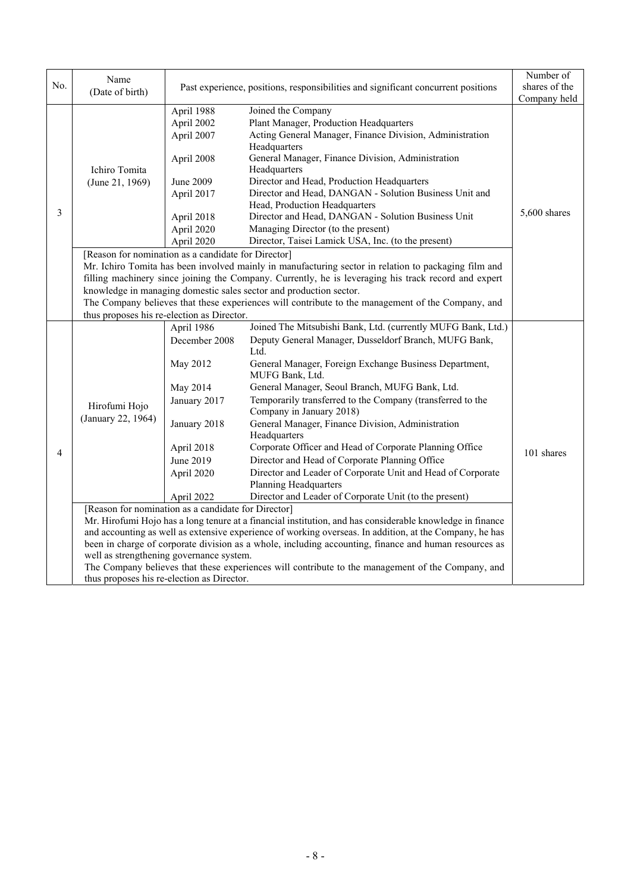|     | Name                                                                                                      |               |                                                                                                      | Number of     |
|-----|-----------------------------------------------------------------------------------------------------------|---------------|------------------------------------------------------------------------------------------------------|---------------|
| No. | (Date of birth)                                                                                           |               | Past experience, positions, responsibilities and significant concurrent positions                    | shares of the |
|     |                                                                                                           |               |                                                                                                      | Company held  |
|     |                                                                                                           | April 1988    | Joined the Company                                                                                   |               |
|     |                                                                                                           | April 2002    | Plant Manager, Production Headquarters                                                               |               |
|     |                                                                                                           | April 2007    | Acting General Manager, Finance Division, Administration                                             |               |
|     |                                                                                                           |               | Headquarters                                                                                         |               |
|     |                                                                                                           | April 2008    | General Manager, Finance Division, Administration                                                    |               |
|     | Ichiro Tomita                                                                                             |               | Headquarters                                                                                         |               |
|     | (June 21, 1969)                                                                                           | June 2009     | Director and Head, Production Headquarters                                                           |               |
|     |                                                                                                           | April 2017    | Director and Head, DANGAN - Solution Business Unit and                                               |               |
| 3   |                                                                                                           |               | Head, Production Headquarters                                                                        | 5,600 shares  |
|     |                                                                                                           | April 2018    | Director and Head, DANGAN - Solution Business Unit                                                   |               |
|     |                                                                                                           | April 2020    | Managing Director (to the present)                                                                   |               |
|     |                                                                                                           | April 2020    | Director, Taisei Lamick USA, Inc. (to the present)                                                   |               |
|     | [Reason for nomination as a candidate for Director]                                                       |               |                                                                                                      |               |
|     |                                                                                                           |               | Mr. Ichiro Tomita has been involved mainly in manufacturing sector in relation to packaging film and |               |
|     |                                                                                                           |               | filling machinery since joining the Company. Currently, he is leveraging his track record and expert |               |
|     |                                                                                                           |               | knowledge in managing domestic sales sector and production sector.                                   |               |
|     |                                                                                                           |               | The Company believes that these experiences will contribute to the management of the Company, and    |               |
|     | thus proposes his re-election as Director.                                                                |               |                                                                                                      |               |
|     |                                                                                                           | April 1986    | Joined The Mitsubishi Bank, Ltd. (currently MUFG Bank, Ltd.)                                         |               |
|     | Hirofumi Hojo<br>(January 22, 1964)                                                                       | December 2008 | Deputy General Manager, Dusseldorf Branch, MUFG Bank,                                                |               |
|     |                                                                                                           |               | Ltd.                                                                                                 |               |
|     |                                                                                                           | May 2012      | General Manager, Foreign Exchange Business Department,<br>MUFG Bank, Ltd.                            |               |
|     |                                                                                                           | May 2014      | General Manager, Seoul Branch, MUFG Bank, Ltd.                                                       |               |
|     |                                                                                                           | January 2017  | Temporarily transferred to the Company (transferred to the                                           |               |
|     |                                                                                                           |               | Company in January 2018)                                                                             |               |
|     |                                                                                                           | January 2018  | General Manager, Finance Division, Administration                                                    |               |
|     |                                                                                                           |               | Headquarters                                                                                         |               |
|     |                                                                                                           | April 2018    | Corporate Officer and Head of Corporate Planning Office                                              |               |
| 4   |                                                                                                           | June 2019     | Director and Head of Corporate Planning Office                                                       | 101 shares    |
|     |                                                                                                           | April 2020    | Director and Leader of Corporate Unit and Head of Corporate                                          |               |
|     |                                                                                                           |               | <b>Planning Headquarters</b>                                                                         |               |
|     |                                                                                                           | April 2022    | Director and Leader of Corporate Unit (to the present)                                               |               |
|     | [Reason for nomination as a candidate for Director]                                                       |               |                                                                                                      |               |
|     | Mr. Hirofumi Hojo has a long tenure at a financial institution, and has considerable knowledge in finance |               |                                                                                                      |               |
|     | and accounting as well as extensive experience of working overseas. In addition, at the Company, he has   |               |                                                                                                      |               |
|     | been in charge of corporate division as a whole, including accounting, finance and human resources as     |               |                                                                                                      |               |
|     | well as strengthening governance system.                                                                  |               |                                                                                                      |               |
|     |                                                                                                           |               | The Company believes that these experiences will contribute to the management of the Company, and    |               |
|     | thus proposes his re-election as Director.                                                                |               |                                                                                                      |               |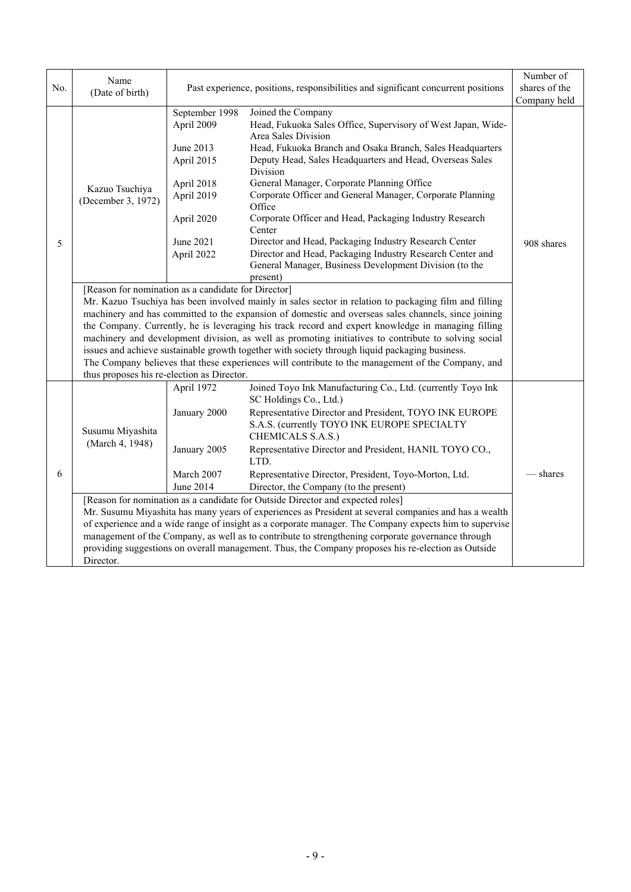|     | Name                                                                                                   |                                                                                                   |                                                                                                                                                                                                                                                                                                                                                                                                                                                                                                             | Number of     |  |
|-----|--------------------------------------------------------------------------------------------------------|---------------------------------------------------------------------------------------------------|-------------------------------------------------------------------------------------------------------------------------------------------------------------------------------------------------------------------------------------------------------------------------------------------------------------------------------------------------------------------------------------------------------------------------------------------------------------------------------------------------------------|---------------|--|
| No. | (Date of birth)                                                                                        |                                                                                                   | Past experience, positions, responsibilities and significant concurrent positions                                                                                                                                                                                                                                                                                                                                                                                                                           | shares of the |  |
|     |                                                                                                        |                                                                                                   |                                                                                                                                                                                                                                                                                                                                                                                                                                                                                                             | Company held  |  |
|     | Kazuo Tsuchiya<br>(December 3, 1972)                                                                   | September 1998<br>April 2009                                                                      | Joined the Company<br>Head, Fukuoka Sales Office, Supervisory of West Japan, Wide-<br>Area Sales Division                                                                                                                                                                                                                                                                                                                                                                                                   |               |  |
|     |                                                                                                        | June 2013<br>April 2015                                                                           | Head, Fukuoka Branch and Osaka Branch, Sales Headquarters<br>Deputy Head, Sales Headquarters and Head, Overseas Sales<br>Division                                                                                                                                                                                                                                                                                                                                                                           |               |  |
|     |                                                                                                        | April 2018<br>April 2019                                                                          | General Manager, Corporate Planning Office<br>Corporate Officer and General Manager, Corporate Planning                                                                                                                                                                                                                                                                                                                                                                                                     |               |  |
|     |                                                                                                        | April 2020                                                                                        | Corporate Officer and Head, Packaging Industry Research<br>Center                                                                                                                                                                                                                                                                                                                                                                                                                                           |               |  |
| 5   |                                                                                                        | June 2021<br>April 2022                                                                           | Director and Head, Packaging Industry Research Center<br>Director and Head, Packaging Industry Research Center and<br>General Manager, Business Development Division (to the                                                                                                                                                                                                                                                                                                                                | 908 shares    |  |
|     | [Reason for nomination as a candidate for Director]                                                    |                                                                                                   |                                                                                                                                                                                                                                                                                                                                                                                                                                                                                                             |               |  |
|     |                                                                                                        |                                                                                                   |                                                                                                                                                                                                                                                                                                                                                                                                                                                                                                             |               |  |
|     | machinery and has committed to the expansion of domestic and overseas sales channels, since joining    |                                                                                                   |                                                                                                                                                                                                                                                                                                                                                                                                                                                                                                             |               |  |
|     | the Company. Currently, he is leveraging his track record and expert knowledge in managing filling     |                                                                                                   |                                                                                                                                                                                                                                                                                                                                                                                                                                                                                                             |               |  |
|     | machinery and development division, as well as promoting initiatives to contribute to solving social   |                                                                                                   |                                                                                                                                                                                                                                                                                                                                                                                                                                                                                                             |               |  |
|     |                                                                                                        |                                                                                                   |                                                                                                                                                                                                                                                                                                                                                                                                                                                                                                             |               |  |
|     |                                                                                                        | The Company believes that these experiences will contribute to the management of the Company, and |                                                                                                                                                                                                                                                                                                                                                                                                                                                                                                             |               |  |
|     |                                                                                                        |                                                                                                   |                                                                                                                                                                                                                                                                                                                                                                                                                                                                                                             |               |  |
|     |                                                                                                        |                                                                                                   |                                                                                                                                                                                                                                                                                                                                                                                                                                                                                                             |               |  |
|     |                                                                                                        |                                                                                                   |                                                                                                                                                                                                                                                                                                                                                                                                                                                                                                             |               |  |
| 6   | Susumu Miyashita<br>(March 4, 1948)                                                                    |                                                                                                   | S.A.S. (currently TOYO INK EUROPE SPECIALTY                                                                                                                                                                                                                                                                                                                                                                                                                                                                 |               |  |
|     |                                                                                                        | January 2005                                                                                      | Representative Director and President, HANIL TOYO CO.,<br>LTD.                                                                                                                                                                                                                                                                                                                                                                                                                                              |               |  |
|     |                                                                                                        | March 2007                                                                                        | Representative Director, President, Toyo-Morton, Ltd.                                                                                                                                                                                                                                                                                                                                                                                                                                                       | shares        |  |
|     |                                                                                                        | June 2014                                                                                         | Director, the Company (to the present)                                                                                                                                                                                                                                                                                                                                                                                                                                                                      |               |  |
|     | [Reason for nomination as a candidate for Outside Director and expected roles]                         |                                                                                                   |                                                                                                                                                                                                                                                                                                                                                                                                                                                                                                             |               |  |
|     | Mr. Susumu Miyashita has many years of experiences as President at several companies and has a wealth  |                                                                                                   |                                                                                                                                                                                                                                                                                                                                                                                                                                                                                                             |               |  |
|     | of experience and a wide range of insight as a corporate manager. The Company expects him to supervise |                                                                                                   |                                                                                                                                                                                                                                                                                                                                                                                                                                                                                                             |               |  |
|     | management of the Company, as well as to contribute to strengthening corporate governance through      |                                                                                                   |                                                                                                                                                                                                                                                                                                                                                                                                                                                                                                             |               |  |
|     |                                                                                                        |                                                                                                   |                                                                                                                                                                                                                                                                                                                                                                                                                                                                                                             |               |  |
|     | thus proposes his re-election as Director.<br>Director.                                                | April 1972<br>January 2000                                                                        | Office<br>present)<br>Mr. Kazuo Tsuchiya has been involved mainly in sales sector in relation to packaging film and filling<br>issues and achieve sustainable growth together with society through liquid packaging business.<br>Joined Toyo Ink Manufacturing Co., Ltd. (currently Toyo Ink<br>SC Holdings Co., Ltd.)<br>Representative Director and President, TOYO INK EUROPE<br>CHEMICALS S.A.S.)<br>providing suggestions on overall management. Thus, the Company proposes his re-election as Outside |               |  |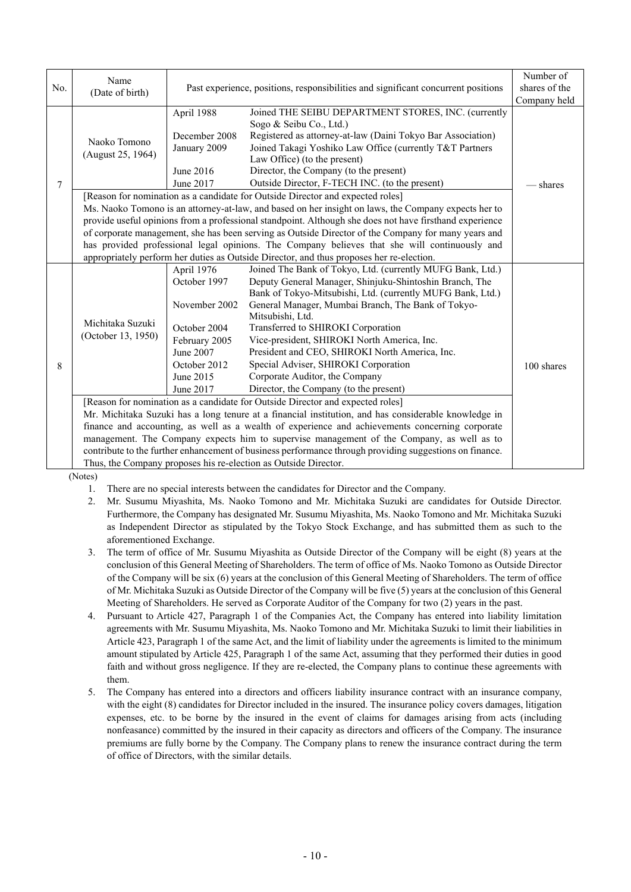|     | Name                                                                                                    |                                                                                   |                                                                                                         | Number of     |  |
|-----|---------------------------------------------------------------------------------------------------------|-----------------------------------------------------------------------------------|---------------------------------------------------------------------------------------------------------|---------------|--|
| No. | (Date of birth)                                                                                         | Past experience, positions, responsibilities and significant concurrent positions |                                                                                                         | shares of the |  |
|     |                                                                                                         |                                                                                   |                                                                                                         | Company held  |  |
|     |                                                                                                         | April 1988                                                                        | Joined THE SEIBU DEPARTMENT STORES, INC. (currently                                                     |               |  |
|     | Naoko Tomono<br>(August 25, 1964)                                                                       |                                                                                   | Sogo & Seibu Co., Ltd.)                                                                                 |               |  |
|     |                                                                                                         | December 2008                                                                     | Registered as attorney-at-law (Daini Tokyo Bar Association)                                             |               |  |
|     |                                                                                                         | January 2009                                                                      | Joined Takagi Yoshiko Law Office (currently T&T Partners                                                |               |  |
|     |                                                                                                         |                                                                                   | Law Office) (to the present)                                                                            |               |  |
|     |                                                                                                         | June 2016                                                                         | Director, the Company (to the present)                                                                  |               |  |
| 7   |                                                                                                         | June 2017                                                                         | Outside Director, F-TECH INC. (to the present)                                                          | — shares      |  |
|     |                                                                                                         |                                                                                   | [Reason for nomination as a candidate for Outside Director and expected roles]                          |               |  |
|     |                                                                                                         |                                                                                   | Ms. Naoko Tomono is an attorney-at-law, and based on her insight on laws, the Company expects her to    |               |  |
|     |                                                                                                         |                                                                                   | provide useful opinions from a professional standpoint. Although she does not have firsthand experience |               |  |
|     | of corporate management, she has been serving as Outside Director of the Company for many years and     |                                                                                   |                                                                                                         |               |  |
|     | has provided professional legal opinions. The Company believes that she will continuously and           |                                                                                   |                                                                                                         |               |  |
|     | appropriately perform her duties as Outside Director, and thus proposes her re-election.                |                                                                                   |                                                                                                         |               |  |
|     |                                                                                                         | April 1976                                                                        | Joined The Bank of Tokyo, Ltd. (currently MUFG Bank, Ltd.)                                              |               |  |
|     |                                                                                                         | October 1997                                                                      | Deputy General Manager, Shinjuku-Shintoshin Branch, The                                                 |               |  |
|     |                                                                                                         |                                                                                   | Bank of Tokyo-Mitsubishi, Ltd. (currently MUFG Bank, Ltd.)                                              |               |  |
|     |                                                                                                         | November 2002                                                                     | General Manager, Mumbai Branch, The Bank of Tokyo-                                                      |               |  |
|     |                                                                                                         |                                                                                   | Mitsubishi, Ltd.                                                                                        |               |  |
|     | Michitaka Suzuki<br>(October 13, 1950)                                                                  | October 2004                                                                      | Transferred to SHIROKI Corporation                                                                      |               |  |
|     |                                                                                                         | February 2005                                                                     | Vice-president, SHIROKI North America, Inc.                                                             |               |  |
|     |                                                                                                         | June 2007                                                                         | President and CEO, SHIROKI North America, Inc.                                                          |               |  |
| 8   |                                                                                                         | October 2012                                                                      | Special Adviser, SHIROKI Corporation                                                                    | 100 shares    |  |
|     |                                                                                                         | June 2015                                                                         | Corporate Auditor, the Company                                                                          |               |  |
|     |                                                                                                         | June 2017                                                                         | Director, the Company (to the present)                                                                  |               |  |
|     | [Reason for nomination as a candidate for Outside Director and expected roles]                          |                                                                                   |                                                                                                         |               |  |
|     | Mr. Michitaka Suzuki has a long tenure at a financial institution, and has considerable knowledge in    |                                                                                   |                                                                                                         |               |  |
|     | finance and accounting, as well as a wealth of experience and achievements concerning corporate         |                                                                                   |                                                                                                         |               |  |
|     | management. The Company expects him to supervise management of the Company, as well as to               |                                                                                   |                                                                                                         |               |  |
|     | contribute to the further enhancement of business performance through providing suggestions on finance. |                                                                                   |                                                                                                         |               |  |
|     |                                                                                                         |                                                                                   | Thus, the Company proposes his re-election as Outside Director.                                         |               |  |

(Notes)

1. There are no special interests between the candidates for Director and the Company.

- 2. Mr. Susumu Miyashita, Ms. Naoko Tomono and Mr. Michitaka Suzuki are candidates for Outside Director. Furthermore, the Company has designated Mr. Susumu Miyashita, Ms. Naoko Tomono and Mr. Michitaka Suzuki as Independent Director as stipulated by the Tokyo Stock Exchange, and has submitted them as such to the aforementioned Exchange.
- 3. The term of office of Mr. Susumu Miyashita as Outside Director of the Company will be eight (8) years at the conclusion of this General Meeting of Shareholders. The term of office of Ms. Naoko Tomono as Outside Director of the Company will be six (6) years at the conclusion of this General Meeting of Shareholders. The term of office of Mr. Michitaka Suzuki as Outside Director of the Company will be five (5) years at the conclusion of this General Meeting of Shareholders. He served as Corporate Auditor of the Company for two (2) years in the past.
- 4. Pursuant to Article 427, Paragraph 1 of the Companies Act, the Company has entered into liability limitation agreements with Mr. Susumu Miyashita, Ms. Naoko Tomono and Mr. Michitaka Suzuki to limit their liabilities in Article 423, Paragraph 1 of the same Act, and the limit of liability under the agreements is limited to the minimum amount stipulated by Article 425, Paragraph 1 of the same Act, assuming that they performed their duties in good faith and without gross negligence. If they are re-elected, the Company plans to continue these agreements with them.
- 5. The Company has entered into a directors and officers liability insurance contract with an insurance company, with the eight (8) candidates for Director included in the insured. The insurance policy covers damages, litigation expenses, etc. to be borne by the insured in the event of claims for damages arising from acts (including nonfeasance) committed by the insured in their capacity as directors and officers of the Company. The insurance premiums are fully borne by the Company. The Company plans to renew the insurance contract during the term of office of Directors, with the similar details.